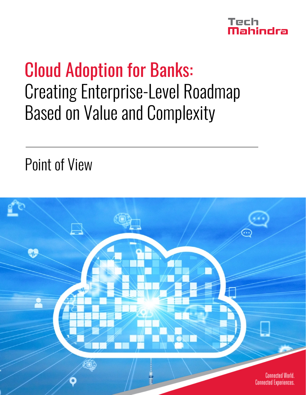

# Cloud Adoption for Banks: Creating Enterprise-Level Roadmap Based on Value and Complexity

Point of View

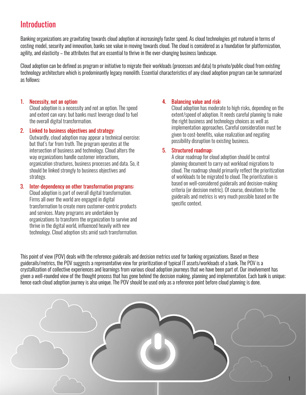### Introduction

Banking organizations are gravitating towards cloud adoption at increasingly faster speed. As cloud technologies get matured in terms of costing model, security and innovation, banks see value in moving towards cloud. The cloud is considered as a foundation for platformization, agility, and elasticity – the attributes that are essential to thrive in the ever-changing business landscape.

Cloud adoption can be defined as program or initiative to migrate their workloads (processes and data) to private/public cloud from existing technology architecture which is predominantly legacy monolith. Essential characteristics of any cloud adoption program can be summarized as follows:

#### 1. Necessity, not an option:

Cloud adoption is a necessity and not an option. The speed and extent can vary; but banks must leverage cloud to fuel the overall digital transformation.

#### 2. Linked to business objectives and strategy:

Outwardly, cloud adoption may appear a technical exercise; but that's far from truth. The program operates at the intersection of business and technology. Cloud alters the way organizations handle customer interactions, organization structures, business processes and data. So, it should be linked strongly to business objectives and strategy.

#### 3. Inter-dependency on other transformation programs:

Cloud adoption is part of overall digital transformation. Firms all over the world are engaged in digital transformation to create more customer-centric products and services. Many programs are undertaken by organizations to transform the organization to survive and thrive in the digital world, influenced heavily with new technology. Cloud adoption sits amid such transformation.

#### 4. Balancing value and risk:

Cloud adoption has moderate to high risks, depending on the extent/speed of adoption. It needs careful planning to make the right business and technology choices as well as implementation approaches. Careful consideration must be given to cost-benefits, value realization and negating possibility disruption to existing business.

#### 5. Structured roadmap:

A clear roadmap for cloud adoption should be central planning document to carry out workload migrations to cloud. The roadmap should primarily reflect the prioritization of workloads to be migrated to cloud. The prioritization is based on well-considered guiderails and decision-making criteria (or decision metric). Of course, deviations to the guiderails and metrics is very much possible based on the specific context.

This point of view (POV) deals with the reference guiderails and decision metrics used for banking organizations. Based on these guiderails/metrics, the POV suggests a representative view for prioritization of typical IT assets/workloads of a bank. The POV is a crystallization of collective experiences and learnings from various cloud adoption journeys that we have been part of. Our involvement has given a well-rounded view of the thought process that has gone behind the decision making, planning and implementation. Each bank is unique; hence each cloud adoption journey is also unique. The POV should be used only as a reference point before cloud planning is done.

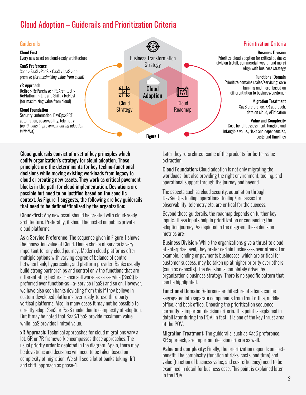### Cloud Adoption – Guiderails and Prioritization Criteria



Cloud guiderails consist of a set of key principles which codify organization's strategy for cloud adoption. These principles are the determinants for key techno-functional decisions while moving existing workloads from legacy to cloud or creating new assets. They work as critical pavement blocks in the path for cloud implementation. Deviations are possible but need to be justified based on the specific context. As Figure 1 suggests, the following are key guiderails that need to be defined/finalized by the organization:

Cloud-first: Any new asset should be created with cloud-ready architecture. Preferably, it should be hosted on public/private cloud platforms.

As a Service Preference: The sequence given in Figure 1 shows the innovation value of Cloud. Hence choice of service is very important for any cloud journey. Modern cloud platforms offer multiple options with varying degree of balance of control between bank, hyperscaler, and platform provider. Banks usually build strong partnerships and control only the functions that are differentiating factors. Hence software- as -a -service (SaaS) is preferred over function-as –a- service (FaaS) and so on. However, we have also seen banks deviating from this if they believe in custom-developed platforms over ready-to-use third party vertical platforms. Also, in many cases it may not be possible to directly adopt SaaS or PaaS model due to complexity of adoption. But it may be noted that SaaS/PaaS provide maximum value while IaaS provides limited value.

xR Approach: Technical approaches for cloud migrations vary a lot. 6R or 7R framework encompasses those approaches. The usual priority order is depicted in the diagram. Again, there may be deviations and decisions will need to be taken based on complexity of migration. We still see a lot of banks taking 'lift and shift' approach as phase-1.

Later they re-architect some of the products for better value extraction.

Cloud Foundation: Cloud adoption is not only migrating the workloads; but also providing the right environment, tooling, and operational support through the journey and beyond.

The aspects such as cloud security, automation through DevSecOps tooling, operational tooling/processes for observability, telemetry etc. are critical for the success.

Beyond these guiderails, the roadmap depends on further key inputs. These inputs help in prioritization or sequencing the adoption journey. As depicted in the diagram, these decision metrics are:

Business Division: While the organizations give a thrust to cloud at enterprise level, they prefer certain businesses over others. For example, lending or payments businesses, which are critical for customer success, may be taken up at higher priority over others (such as deposits). The decision is completely driven by organization's business strategy. There is no specific pattern that can be highlighted.

Functional Domain: Reference architecture of a bank can be segregated into separate components from front office, middle office, and back office. Choosing the prioritization sequence correctly is important decision criteria. This point is explained in detail later during the POV. In fact, it is one of the key thrust area of the POV.

Migration Treatment: The guiderails, such as XaaS preference, XR approach, are important decision criteria as well.

Value and complexity: Finally, the prioritization depends on costbenefit. The complexity (function of risks, costs, and time) and value (function of business value, and cost efficiency) need to be examined in detail for business case. This point is explained later in the POV.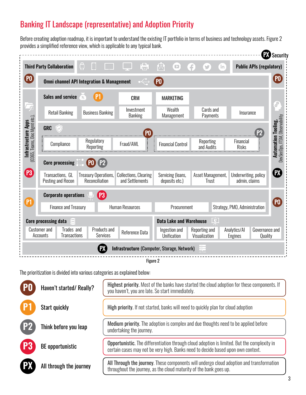### Banking IT Landscape (representative) and Adoption Priority

Before creating adoption roadmap, it is important to understand the existing IT portfolio in terms of business and technologyassets. Figure 2 provides a simplified reference view, which is applicable to any typical bank.

|                                                                     |                                                                                                                                  |                                                      |                                                 |                                                                                                                               |                            |                                       | <b>PX</b> Security                                           |
|---------------------------------------------------------------------|----------------------------------------------------------------------------------------------------------------------------------|------------------------------------------------------|-------------------------------------------------|-------------------------------------------------------------------------------------------------------------------------------|----------------------------|---------------------------------------|--------------------------------------------------------------|
|                                                                     | <b>Third Party Collaboration</b>                                                                                                 | Ô<br>O                                               | 白                                               | 凤<br>$\Box$                                                                                                                   | Ŧ<br>'in<br>$\sum$         | <b>Public APIs (regulatory)</b>       |                                                              |
| $($ PO $($                                                          |                                                                                                                                  | <b>Omni channel API Integration &amp; Management</b> |                                                 | <b>PO</b>                                                                                                                     |                            |                                       |                                                              |
| Ļ                                                                   | <b>Sales and service</b>                                                                                                         | $\%$                                                 | <b>CRM</b>                                      | <b>MARKETING</b>                                                                                                              |                            |                                       |                                                              |
|                                                                     | <b>Retail Banking</b>                                                                                                            | <b>Business Banking</b>                              | Investment<br><b>Banking</b>                    | Wealth<br>Management                                                                                                          | Cards and<br>Payments      | Insurance                             | $\mathcal{S}_{\lambda}$                                      |
|                                                                     | <b>GRC</b><br>P <sub>2</sub><br>P <sub>0</sub>                                                                                   |                                                      |                                                 |                                                                                                                               |                            |                                       |                                                              |
| <b>Infrastructure Apps</b><br>(0365, Teams, Doc Mgmt etc.),         | Compliance                                                                                                                       | Regulatory<br>Reporting                              | Fraud/AML                                       | <b>Financial Control</b>                                                                                                      | Reporting<br>and Audits    | Financial<br><b>Risks</b>             | DevSecOps, ITSM, Observability<br><b>Automation Tooling,</b> |
|                                                                     | PO P2<br><b>Core processing</b>                                                                                                  |                                                      |                                                 |                                                                                                                               |                            |                                       |                                                              |
| P3                                                                  | Transactions, GL<br>Posting and Recon                                                                                            | <b>Treasury Operations,</b><br>Reconciliation        | <b>Collections, Clearing</b><br>and Settlements | Servicing (loans,<br>deposits etc.)                                                                                           | Asset Management,<br>Trust | Underwriting, policy<br>admin, claims | $\mathbf{E}$                                                 |
|                                                                     | (P3)<br><b>Corporate operations</b>                                                                                              |                                                      |                                                 |                                                                                                                               |                            |                                       |                                                              |
| P <sub>1</sub>                                                      | <b>Finance and Treasury</b>                                                                                                      |                                                      | <b>Human Resources</b>                          | Procurement                                                                                                                   |                            | Strategy, PMO, Administration         |                                                              |
| <b>Data Lake and Warehouse</b><br>奥<br><b>Core processing data</b>  |                                                                                                                                  |                                                      |                                                 |                                                                                                                               |                            |                                       |                                                              |
|                                                                     | Trades and<br><b>Customer and</b><br><b>Products and</b><br>Reference Data<br><b>Transactions</b><br>Accounts<br><b>Services</b> |                                                      |                                                 | Ingestion and<br>Analytics/Al<br>Governance and<br>Reporting and<br>Unification<br>Visualization<br><b>Engines</b><br>Quality |                            |                                       |                                                              |
| Infrastructure (Computer, Storage, Network)<br>$\frac{1}{\sqrt{2}}$ |                                                                                                                                  |                                                      |                                                 |                                                                                                                               |                            |                                       |                                                              |

Figure 2

The prioritization is divided into various categories as explained below:

| P <sub>0</sub>  | Haven't started/Really? | Highest priority. Most of the banks have started the cloud adoption for these components. If<br>you haven't, you are late. So start immediately.                                       |
|-----------------|-------------------------|----------------------------------------------------------------------------------------------------------------------------------------------------------------------------------------|
| P <sub>1</sub>  | <b>Start quickly</b>    | High priority. If not started, banks will need to quickly plan for cloud adoption                                                                                                      |
| $\overline{P2}$ | Think before you leap   | Medium priority. The adoption is complex and due thoughts need to be applied before<br>undertaking the journey.                                                                        |
| <b>P3</b>       | <b>BE</b> opportunistic | <b>Opportunistic.</b> The differentiation through cloud adoption is limited. But the complexity in<br>certain cases may not be very high. Banks need to decide based upon own context. |
| <b>PX</b>       | All through the journey | All Through the journey. These components will undergo cloud adoption and transformation<br>throughout the journey, as the cloud maturity of the bank goes up.                         |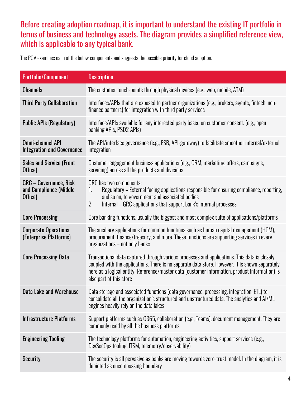#### Before creating adoption roadmap, it is important to understand the existing IT portfolio in terms of business and technology assets. The diagram provides a simplified reference view, which is applicable to any typical bank.

The POV examines each of the below components and suggests the possible priority for cloud adoption.

| <b>Portfolio/Component</b>                                   | <b>Description</b>                                                                                                                                                                                                                                                                                                           |
|--------------------------------------------------------------|------------------------------------------------------------------------------------------------------------------------------------------------------------------------------------------------------------------------------------------------------------------------------------------------------------------------------|
| <b>Channels</b>                                              | The customer touch-points through physical devices (e.g., web, mobile, ATM)                                                                                                                                                                                                                                                  |
| <b>Third Party Collaboration</b>                             | Interfaces/APIs that are exposed to partner organizations (e.g., brokers, agents, fintech, non-<br>finance partners) for integration with third party services                                                                                                                                                               |
| <b>Public APIs (Regulatory)</b>                              | Interface/APIs available for any interested party based on customer consent. (e.g., open<br>banking APIs, PSD2 APIs)                                                                                                                                                                                                         |
| <b>Omni-channel API</b><br><b>Integration and Governance</b> | The API/interface governance (e.g., ESB, API-gateway) to facilitate smoother internal/external<br>integration                                                                                                                                                                                                                |
| <b>Sales and Service (Front</b><br>Office)                   | Customer engagement business applications (e.g., CRM, marketing, offers, campaigns,<br>servicing) across all the products and divisions                                                                                                                                                                                      |
| GRC - Governance, Risk<br>and Compliance (Middle<br>Office)  | GRC has two components:<br>Regulatory - External facing applications responsible for ensuring compliance, reporting,<br>1.<br>and so on, to government and associated bodies<br>2.<br>Internal – GRC applications that support bank's internal processes                                                                     |
| <b>Core Processing</b>                                       | Core banking functions, usually the biggest and most complex suite of applications/platforms                                                                                                                                                                                                                                 |
| <b>Corporate Operations</b><br>(Enterprise Platforms)        | The ancillary applications for common functions such as human capital management (HCM),<br>procurement, finance/treasury, and more. These functions are supporting services in every<br>organizations - not only banks                                                                                                       |
| <b>Core Processing Data</b>                                  | Transactional data captured through various processes and applications. This data is closely<br>coupled with the applications. There is no separate data store. However, it is shown separately<br>here as a logical entity. Reference/master data (customer information, product information) is<br>also part of this store |
| <b>Data Lake and Warehouse</b>                               | Data storage and associated functions (data governance, processing, integration, ETL) to<br>consolidate all the organization's structured and unstructured data. The analytics and AI/ML<br>engines heavily rely on the data lakes                                                                                           |
| <b>Infrastructure Platforms</b>                              | Support platforms such as 0365, collaboration (e.g., Teams), document management. They are<br>commonly used by all the business platforms                                                                                                                                                                                    |
| <b>Engineering Tooling</b>                                   | The technology platforms for automation, engineering activities, support services (e.g.,<br>DevSecOps tooling, ITSM, telemetry/observability)                                                                                                                                                                                |
| <b>Security</b>                                              | The security is all pervasive as banks are moving towards zero-trust model. In the diagram, it is<br>depicted as encompassing boundary                                                                                                                                                                                       |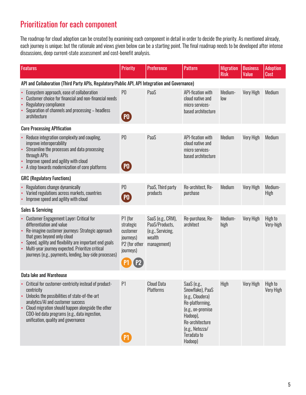### Prioritization for each component

The roadmap for cloud adoption can be created by examining each component in detail in order to decide the priority. As mentioned already, each journey is unique; but the rationale and views given below can be a starting point. The final roadmap needs to be developed after intense discussions, deep current-state assessment and cost-benefit analysis.

| <b>Features</b>                                                                                                                                                                                                                                                                                                                          | <b>Priority</b>                                                             | <b>Preference</b>                                                                 | <b>Pattern</b>                                                                                                                                                          | <b>Migration</b><br><b>Risk</b> | <b>Business</b><br>Value | <b>Adoption</b><br><b>Cost</b> |  |  |  |
|------------------------------------------------------------------------------------------------------------------------------------------------------------------------------------------------------------------------------------------------------------------------------------------------------------------------------------------|-----------------------------------------------------------------------------|-----------------------------------------------------------------------------------|-------------------------------------------------------------------------------------------------------------------------------------------------------------------------|---------------------------------|--------------------------|--------------------------------|--|--|--|
| API and Collaboration (Third Party APIs, Regulatory/Public API, API Integration and Governance)                                                                                                                                                                                                                                          |                                                                             |                                                                                   |                                                                                                                                                                         |                                 |                          |                                |  |  |  |
| Ecosystem approach, ease of collaboration<br>$\bullet$<br>Customer choice for financial and non-financial needs<br>Regulatory compliance<br>Separation of channels and processing - headless<br>architecture                                                                                                                             | P <sub>0</sub><br>(PO)                                                      | PaaS                                                                              | API-fication with<br>cloud native and<br>micro services-<br>based architecture                                                                                          | Medium-<br>low                  | Very High                | Medium                         |  |  |  |
| <b>Core Processing APIfication</b>                                                                                                                                                                                                                                                                                                       |                                                                             |                                                                                   |                                                                                                                                                                         |                                 |                          |                                |  |  |  |
| Reduce integration complexity and coupling,<br>$\bullet$<br>improve interoperability<br>Streamline the processes and data processing<br>through APIs<br>Improve speed and agility with cloud<br>• A step towards modernization of core platforms                                                                                         | P <sub>0</sub><br>PO)                                                       | PaaS                                                                              | API-fication with<br>cloud native and<br>micro services-<br>based architecture                                                                                          | Medium                          | Very High                | Medium                         |  |  |  |
| <b>GRC (Regulatory Functions)</b>                                                                                                                                                                                                                                                                                                        |                                                                             |                                                                                   |                                                                                                                                                                         |                                 |                          |                                |  |  |  |
| Regulations change dynamically<br>$\bullet$<br>Varied regulations across markets, countries<br>Improve speed and agility with cloud<br>$\bullet$                                                                                                                                                                                         | P <sub>0</sub><br>$($ PO $)$                                                | PaaS, Third party<br>products                                                     | Re-architect, Re-<br>purchase                                                                                                                                           | Medium                          | Very High                | Medium-<br>High                |  |  |  |
| <b>Sales &amp; Servicing</b>                                                                                                                                                                                                                                                                                                             |                                                                             |                                                                                   |                                                                                                                                                                         |                                 |                          |                                |  |  |  |
| <b>Customer Engagement Layer: Critical for</b><br>differentiation and value<br>Re-imagine customer journeys: Strategic approach<br>that goes beyond only cloud<br>• Speed, agility and flexibility are important end goals<br>Multi-year journey expected. Prioritize critical<br>journeys (e.g., payments, lending, buy-side processes) | P1 (for<br>strategic<br>customer<br>journeys)<br>P2 (for other<br>journeys) | SaaS (e.g., CRM),<br>PaaS/Products,<br>(e.g., Servicing,<br>wealth<br>management) | Re-purchase, Re-<br>architect                                                                                                                                           | Medium-<br>high                 | Very High                | High to<br>Very-high           |  |  |  |
| <b>Data lake and Warehouse</b>                                                                                                                                                                                                                                                                                                           |                                                                             |                                                                                   |                                                                                                                                                                         |                                 |                          |                                |  |  |  |
| • Critical for customer-centricity instead of product-<br>centricity<br>Unlocks the possibilities of state-of-the-art<br>analytics/AI and customer success<br>Cloud migration should happen alongside the other<br>CDO-led data programs (e.g., data ingestion,<br>unification, quality and governance                                   | P <sub>1</sub><br>[P1]                                                      | <b>Cloud Data</b><br>Platforms                                                    | SaaS (e.g.,<br>Snowflake), PaaS<br>(e.g., Cloudera)<br>Re-platforming,<br>(e.g., on-premise<br>Hadoop),<br>Re-architecture<br>(e.g., Netezza/<br>Teradata to<br>Hadoop) | High                            | Very High                | High to<br>Very High           |  |  |  |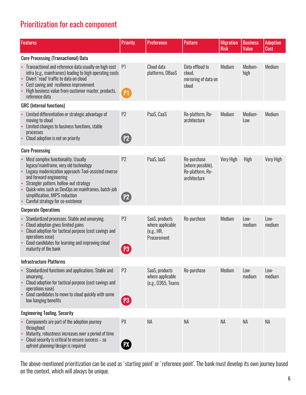### Prioritization for each component

| <b>Features</b>                                                                                                                                                                                                                                                                                                                                     | <b>Priority</b>                  | <b>Preference</b>                                               | <b>Pattern</b>                                                       | <b>Migration</b><br><b>Risk</b> | <b>Business</b><br>Value | <b>Adoption</b><br>Cost |  |  |
|-----------------------------------------------------------------------------------------------------------------------------------------------------------------------------------------------------------------------------------------------------------------------------------------------------------------------------------------------------|----------------------------------|-----------------------------------------------------------------|----------------------------------------------------------------------|---------------------------------|--------------------------|-------------------------|--|--|
| <b>Core Processing (Transactional) Data</b>                                                                                                                                                                                                                                                                                                         |                                  |                                                                 |                                                                      |                                 |                          |                         |  |  |
| Transactional and reference data usually on high cost<br>infra (e.g., mainframes) leading to high operating costs<br>Divert 'read' traffic to data on cloud<br>$\bullet$<br>Cost saving and resilience improvement<br>High business value from customer master, products,<br>reference data                                                         | P <sub>1</sub><br>P <sub>1</sub> | Cloud data<br>platforms, DBaaS                                  | Data offload to<br>cloud,<br>mirroring of data on<br>cloud           | Medium                          | Medium-<br>high          | Medium                  |  |  |
| <b>GRC</b> (Internal functions)                                                                                                                                                                                                                                                                                                                     |                                  |                                                                 |                                                                      |                                 |                          |                         |  |  |
| Limited differentiation or strategic advantage of<br>moving to cloud<br>Limited changes to business functions, stable<br>processes<br>Cloud adoption is not on priority                                                                                                                                                                             | P <sub>2</sub><br>P2             | PaaS, CaaS                                                      | Re-platform, Re-<br>architecture                                     | Medium                          | Medium-<br>Low           | Medium                  |  |  |
| <b>Core Processing</b>                                                                                                                                                                                                                                                                                                                              |                                  |                                                                 |                                                                      |                                 |                          |                         |  |  |
| Most complex functionality. Usually<br>legacy/mainframe, very old technology<br>Legacy modernization approach: Tool-assisted reverse<br>$\bullet$<br>and forward engineering<br>Strangler pattern, hollow-out strategy<br>Quick-wins such as DevOps on mainframes, batch-job<br>simplification, MIPS reduction<br>Careful strategy for co-existence | P <sub>2</sub><br>P2             | PaaS, laaS                                                      | Re-purchase<br>(where possible),<br>Re-platform, Re-<br>architecture | Very High                       | High                     | Very High               |  |  |
| <b>Corporate Operations</b>                                                                                                                                                                                                                                                                                                                         |                                  |                                                                 |                                                                      |                                 |                          |                         |  |  |
| Standardized processes. Stable and unvarying.<br>Cloud adoption gives limited gains<br>Cloud adoption for tactical purpose (cost savings and<br>operations ease)<br>Good candidates for learning and improving cloud<br>$\bullet$<br>maturity of the bank                                                                                           | P3<br>P <sub>3</sub>             | SaaS, products<br>where applicable<br>(e.g., HR,<br>Procurement | Re-purchase                                                          | Medium                          | Low-<br>medium           | $Low-$<br>medium        |  |  |
| <b>Infrastructure Platforms</b>                                                                                                                                                                                                                                                                                                                     |                                  |                                                                 |                                                                      |                                 |                          |                         |  |  |
| Standardized functions and applications. Stable and<br>unvarying.<br>Cloud adoption for tactical purpose (cost savings and<br>$\bullet$<br>operations ease)<br>Good candidates to move to cloud quickly with some<br>$\bullet$<br>low hanging benefits                                                                                              | P <sub>3</sub><br>P3             | SaaS, products<br>where applicable<br>(e.g., 0365, Teams        | Re-purchase                                                          | Medium                          | Low-<br>medium           | Low-<br>medium          |  |  |
| <b>Engineering Tooling, Security</b>                                                                                                                                                                                                                                                                                                                |                                  |                                                                 |                                                                      |                                 |                          |                         |  |  |
| Components are part of the adoption journey<br>throughout<br>Maturity, robustness increases over a period of time<br>Cloud security is critical to ensure success - so<br>upfront planning/design is required                                                                                                                                       | PX<br>$\mathbf E$                | <b>NA</b>                                                       | <b>NA</b>                                                            | NA                              | <b>NA</b>                | NA                      |  |  |

The above-mentioned prioritization can be used as 'starting point' or 'reference point'. The bank must develop its own journey based on the context, which will always be unique.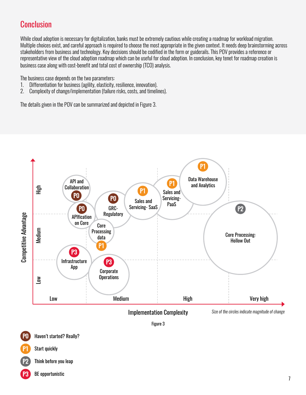### **Conclusion**

While cloud adoption is necessary for digitalization, banks must be extremely cautious while creating a roadmap for workload migration. Multiple choices exist, and careful approach is required to choose the most appropriate in the given context. It needs deep brainstorming across stakeholders from business and technology. Key decisions should be codified in the form or guiderails. This POV provides a reference or representative view of the cloud adoption roadmap which can be useful for cloud adoption. In conclusion, key tenet for roadmap creation is business case along with cost-benefit and total cost of ownership (TCO) analysis.

The business case depends on the two parameters:

- 1. Differentiation for business (agility, elasticity, resilience, innovation).
- 2. Complexity of change/implementation (failure risks, costs, and timelines).

The details given in the POV can be summarized and depicted in Figure 3.





Think before you leap

BE opportunistic